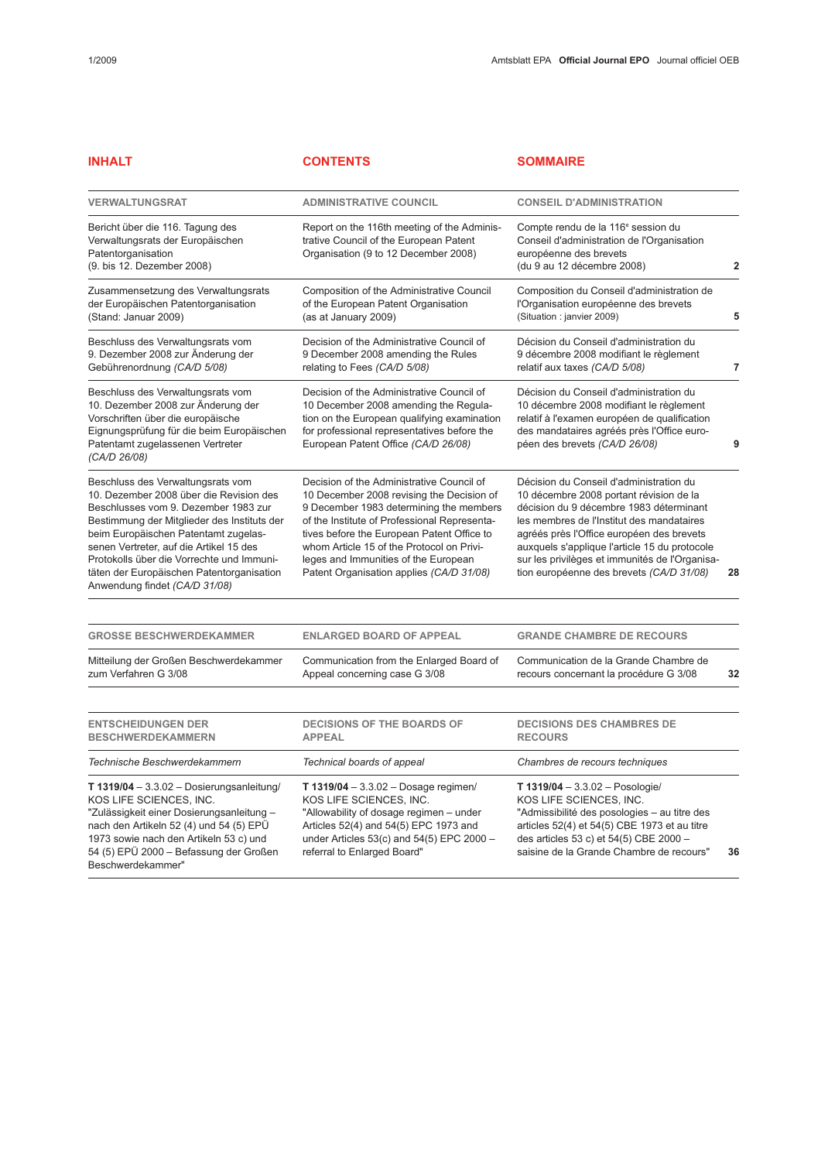| <b>INHALT</b>                                                                                                                                                                                                                                                                                                                                                                     | <b>CONTENTS</b>                                                                                                                                                                                                                                                                                                                                                  | <b>SOMMAIRE</b>                                                                                                                                                                                                                                                                                                                                                        |    |
|-----------------------------------------------------------------------------------------------------------------------------------------------------------------------------------------------------------------------------------------------------------------------------------------------------------------------------------------------------------------------------------|------------------------------------------------------------------------------------------------------------------------------------------------------------------------------------------------------------------------------------------------------------------------------------------------------------------------------------------------------------------|------------------------------------------------------------------------------------------------------------------------------------------------------------------------------------------------------------------------------------------------------------------------------------------------------------------------------------------------------------------------|----|
| <b>VERWALTUNGSRAT</b>                                                                                                                                                                                                                                                                                                                                                             | <b>ADMINISTRATIVE COUNCIL</b>                                                                                                                                                                                                                                                                                                                                    | <b>CONSEIL D'ADMINISTRATION</b>                                                                                                                                                                                                                                                                                                                                        |    |
| Bericht über die 116. Tagung des<br>Verwaltungsrats der Europäischen<br>Patentorganisation<br>(9. bis 12. Dezember 2008)                                                                                                                                                                                                                                                          | Report on the 116th meeting of the Adminis-<br>trative Council of the European Patent<br>Organisation (9 to 12 December 2008)                                                                                                                                                                                                                                    | Compte rendu de la 116 <sup>e</sup> session du<br>Conseil d'administration de l'Organisation<br>européenne des brevets<br>(du 9 au 12 décembre 2008)                                                                                                                                                                                                                   | 2  |
| Zusammensetzung des Verwaltungsrats<br>der Europäischen Patentorganisation<br>(Stand: Januar 2009)                                                                                                                                                                                                                                                                                | Composition of the Administrative Council<br>of the European Patent Organisation<br>(as at January 2009)                                                                                                                                                                                                                                                         | Composition du Conseil d'administration de<br>l'Organisation européenne des brevets<br>(Situation : janvier 2009)                                                                                                                                                                                                                                                      | 5  |
| Beschluss des Verwaltungsrats vom<br>9. Dezember 2008 zur Änderung der<br>Gebührenordnung (CA/D 5/08)                                                                                                                                                                                                                                                                             | Decision of the Administrative Council of<br>9 December 2008 amending the Rules<br>relating to Fees (CA/D 5/08)                                                                                                                                                                                                                                                  | Décision du Conseil d'administration du<br>9 décembre 2008 modifiant le règlement<br>relatif aux taxes (CA/D 5/08)                                                                                                                                                                                                                                                     | 7  |
| Beschluss des Verwaltungsrats vom<br>10. Dezember 2008 zur Änderung der<br>Vorschriften über die europäische<br>Eignungsprüfung für die beim Europäischen<br>Patentamt zugelassenen Vertreter<br>(CA/D 26/08)                                                                                                                                                                     | Decision of the Administrative Council of<br>10 December 2008 amending the Regula-<br>tion on the European qualifying examination<br>for professional representatives before the<br>European Patent Office (CA/D 26/08)                                                                                                                                          | Décision du Conseil d'administration du<br>10 décembre 2008 modifiant le règlement<br>relatif à l'examen européen de qualification<br>des mandataires agréés près l'Office euro-<br>péen des brevets (CA/D 26/08)                                                                                                                                                      | g  |
| Beschluss des Verwaltungsrats vom<br>10. Dezember 2008 über die Revision des<br>Beschlusses vom 9. Dezember 1983 zur<br>Bestimmung der Mitglieder des Instituts der<br>beim Europäischen Patentamt zugelas-<br>senen Vertreter, auf die Artikel 15 des<br>Protokolls über die Vorrechte und Immuni-<br>täten der Europäischen Patentorganisation<br>Anwendung findet (CA/D 31/08) | Decision of the Administrative Council of<br>10 December 2008 revising the Decision of<br>9 December 1983 determining the members<br>of the Institute of Professional Representa-<br>tives before the European Patent Office to<br>whom Article 15 of the Protocol on Privi-<br>leges and Immunities of the European<br>Patent Organisation applies (CA/D 31/08) | Décision du Conseil d'administration du<br>10 décembre 2008 portant révision de la<br>décision du 9 décembre 1983 déterminant<br>les membres de l'Institut des mandataires<br>agréés près l'Office européen des brevets<br>auxquels s'applique l'article 15 du protocole<br>sur les privilèges et immunités de l'Organisa-<br>tion européenne des brevets (CA/D 31/08) | 28 |
| <b>GROSSE BESCHWERDEKAMMER</b>                                                                                                                                                                                                                                                                                                                                                    | <b>ENLARGED BOARD OF APPEAL</b>                                                                                                                                                                                                                                                                                                                                  | <b>GRANDE CHAMBRE DE RECOURS</b>                                                                                                                                                                                                                                                                                                                                       |    |
| Mitteilung der Großen Beschwerdekammer<br>zum Verfahren G 3/08                                                                                                                                                                                                                                                                                                                    | Communication from the Enlarged Board of<br>Appeal concerning case G 3/08                                                                                                                                                                                                                                                                                        | Communication de la Grande Chambre de<br>recours concernant la procédure G 3/08                                                                                                                                                                                                                                                                                        | 32 |
| <b>ENTSCHEIDUNGEN DER</b><br><b>BESCHWERDEKAMMERN</b>                                                                                                                                                                                                                                                                                                                             | <b>DECISIONS OF THE BOARDS OF</b><br><b>APPEAL</b>                                                                                                                                                                                                                                                                                                               | <b>DECISIONS DES CHAMBRES DE</b><br><b>RECOURS</b>                                                                                                                                                                                                                                                                                                                     |    |
| Technische Beschwerdekammern                                                                                                                                                                                                                                                                                                                                                      | Technical boards of appeal                                                                                                                                                                                                                                                                                                                                       | Chambres de recours techniques                                                                                                                                                                                                                                                                                                                                         |    |
| T 1319/04 $-3.3.02$ - Dosierungsanleitung/<br>KOS LIFE SCIENCES, INC.<br>"Zulässigkeit einer Dosierungsanleitung -<br>nach den Artikeln 52 (4) und 54 (5) EPÜ<br>1973 sowie nach den Artikeln 53 c) und<br>54 (5) EPÜ 2000 - Befassung der Großen<br>Beschwerdekammer"                                                                                                            | <b>T 1319/04</b> - 3.3.02 - Dosage regimen/<br>KOS LIFE SCIENCES, INC.<br>"Allowability of dosage regimen - under<br>Articles 52(4) and 54(5) EPC 1973 and<br>under Articles $53(c)$ and $54(5)$ EPC 2000 -<br>referral to Enlarged Board"                                                                                                                       | T $1319/04 - 3.3.02 - Posologie/$<br>KOS LIFE SCIENCES, INC.<br>"Admissibilité des posologies - au titre des<br>articles 52(4) et 54(5) CBE 1973 et au titre<br>des articles 53 c) et 54(5) CBE 2000 -<br>saisine de la Grande Chambre de recours"                                                                                                                     | 36 |